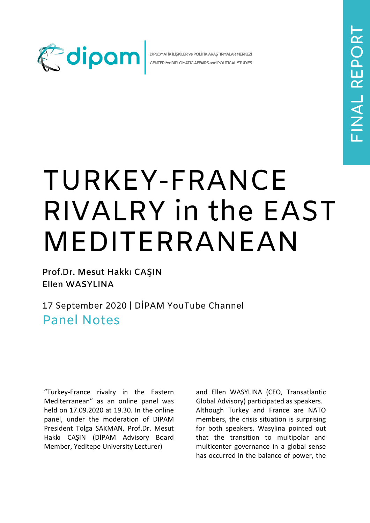

DİPLOMATİK İLİŞKİLER ve POLİTİK ARAŞTIRMALAR MERKEZİ CENTER for DIPLOMATIC AFFAIRS and POLITICAL STUDIES

## TURKEY-FRANCE RIVALRY in the EAST MEDITERRANEAN

Prof.Dr. Mesut Hakkı CAŞIN Ellen WASYLINA

17 September 2020 | DİPAM YouTube Channel **Panel Notes** 

"Turkey-France rivalry in the Eastern Mediterranean" as an online panel was held on 17.09.2020 at 19.30. In the online panel, under the moderation of DİPAM President Tolga SAKMAN, Prof.Dr. Mesut Hakkı CAŞIN (DİPAM Advisory Board Member, Yeditepe University Lecturer)

and Ellen WASYLINA (CEO, Transatlantic Global Advisory) participated as speakers. Although Turkey and France are NATO members, the crisis situation is surprising for both speakers. Wasylina pointed out that the transition to multipolar and multicenter governance in a global sense has occurred in the balance of power, the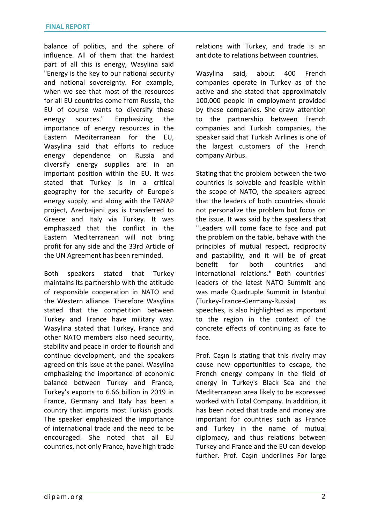balance of politics, and the sphere of influence. All of them that the hardest part of all this is energy, Wasylina said "Energy is the key to our national security and national sovereignty. For example, when we see that most of the resources for all EU countries come from Russia, the EU of course wants to diversify these energy sources." Emphasizing the importance of energy resources in the Eastern Mediterranean for the EU, Wasylina said that efforts to reduce energy dependence on Russia and diversify energy supplies are in an important position within the EU. It was stated that Turkey is in a critical geography for the security of Europe's energy supply, and along with the TANAP project, Azerbaijani gas is transferred to Greece and Italy via Turkey. It was emphasized that the conflict in the Eastern Mediterranean will not bring profit for any side and the 33rd Article of the UN Agreement has been reminded.

Both speakers stated that Turkey maintains its partnership with the attitude of responsible cooperation in NATO and the Western alliance. Therefore Wasylina stated that the competition between Turkey and France have military way. Wasylina stated that Turkey, France and other NATO members also need security, stability and peace in order to flourish and continue development, and the speakers agreed on this issue at the panel. Wasylina emphasizing the importance of economic balance between Turkey and France, Turkey's exports to 6.66 billion in 2019 in France, Germany and Italy has been a country that imports most Turkish goods. The speaker emphasized the importance of international trade and the need to be encouraged. She noted that all EU countries, not only France, have high trade

relations with Turkey, and trade is an antidote to relations between countries.

Wasylina said, about 400 French companies operate in Turkey as of the active and she stated that approximately 100,000 people in employment provided by these companies. She draw attention to the partnership between French companies and Turkish companies, the speaker said that Turkish Airlines is one of the largest customers of the French company Airbus.

Stating that the problem between the two countries is solvable and feasible within the scope of NATO, the speakers agreed that the leaders of both countries should not personalize the problem but focus on the issue. It was said by the speakers that "Leaders will come face to face and put the problem on the table, behave with the principles of mutual respect, reciprocity and pastability, and it will be of great benefit for both countries and international relations." Both countries' leaders of the latest NATO Summit and was made Quadruple Summit in Istanbul (Turkey-France-Germany-Russia) as speeches, is also highlighted as important to the region in the context of the concrete effects of continuing as face to face.

Prof. Caşın is stating that this rivalry may cause new opportunities to escape, the French energy company in the field of energy in Turkey's Black Sea and the Mediterranean area likely to be expressed worked with Total Company. In addition, it has been noted that trade and money are important for countries such as France and Turkey in the name of mutual diplomacy, and thus relations between Turkey and France and the EU can develop further. Prof. Caşın underlines For large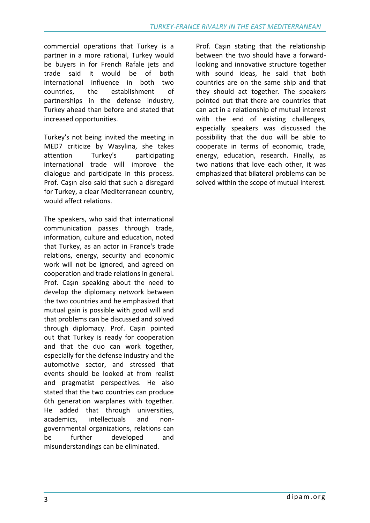commercial operations that Turkey is a partner in a more rational, Turkey would be buyers in for French Rafale jets and trade said it would be of both international influence in both two countries, the establishment of partnerships in the defense industry, Turkey ahead than before and stated that increased opportunities.

Turkey's not being invited the meeting in MED7 criticize by Wasylina, she takes attention Turkey's participating international trade will improve the dialogue and participate in this process. Prof. Caşın also said that such a disregard for Turkey, a clear Mediterranean country, would affect relations.

The speakers, who said that international communication passes through trade, information, culture and education, noted that Turkey, as an actor in France's trade relations, energy, security and economic work will not be ignored, and agreed on cooperation and trade relations in general. Prof. Caşın speaking about the need to develop the diplomacy network between the two countries and he emphasized that mutual gain is possible with good will and that problems can be discussed and solved through diplomacy. Prof. Caşın pointed out that Turkey is ready for cooperation and that the duo can work together, especially for the defense industry and the automotive sector, and stressed that events should be looked at from realist and pragmatist perspectives. He also stated that the two countries can produce 6th generation warplanes with together. He added that through universities, academics, intellectuals and nongovernmental organizations, relations can be further developed and misunderstandings can be eliminated.

Prof. Caşın stating that the relationship between the two should have a forwardlooking and innovative structure together with sound ideas, he said that both countries are on the same ship and that they should act together. The speakers pointed out that there are countries that can act in a relationship of mutual interest with the end of existing challenges, especially speakers was discussed the possibility that the duo will be able to cooperate in terms of economic, trade, energy, education, research. Finally, as two nations that love each other, it was emphasized that bilateral problems can be solved within the scope of mutual interest.